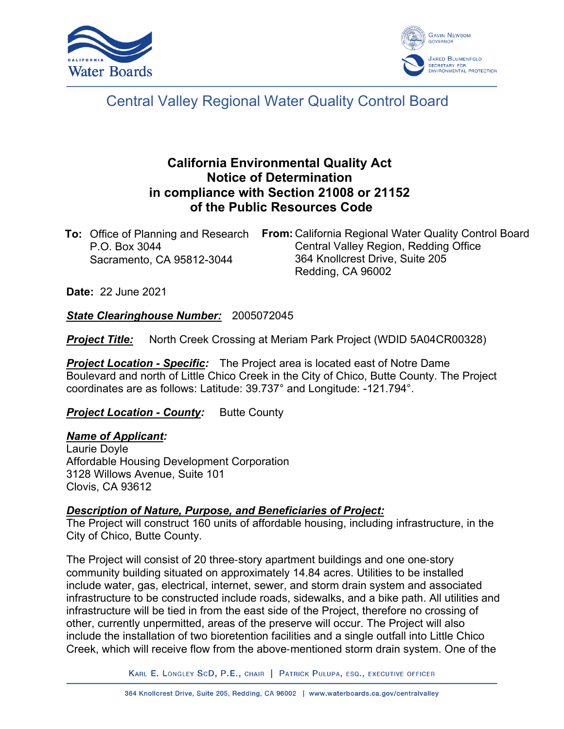



# Central Valley Regional Water Quality Control Board

# **California Environmental Quality Act Notice of Determination in compliance with Section 21008 or 21152 of the Public Resources Code**

| <b>To:</b> Office of Planning and Research | <b>From:</b> California Regional Water Quality Control Board |
|--------------------------------------------|--------------------------------------------------------------|
| P.O. Box 3044                              | Central Valley Region, Redding Office                        |
| Sacramento, CA 95812-3044                  | 364 Knollcrest Drive, Suite 205                              |
|                                            | Redding, CA 96002                                            |

**Date:** 22 June 2021

*State Clearinghouse Number:* 2005072045

**Project Title:** North Creek Crossing at Meriam Park Project (WDID 5A04CR00328)

*Project Location - Specific:* The Project area is located east of Notre Dame Boulevard and north of Little Chico Creek in the City of Chico, Butte County. The Project coordinates are as follows: Latitude: 39.737° and Longitude: -121.794°.

**Project Location - County:** Butte County

#### *Name of Applicant:*

Laurie Doyle Affordable Housing Development Corporation 3128 Willows Avenue, Suite 101 Clovis, CA 93612

#### *Description of Nature, Purpose, and Beneficiaries of Project:*

The Project will construct 160 units of affordable housing, including infrastructure, in the City of Chico, Butte County.

The Project will consist of 20 three‐story apartment buildings and one one‐story community building situated on approximately 14.84 acres. Utilities to be installed include water, gas, electrical, internet, sewer, and storm drain system and associated infrastructure to be constructed include roads, sidewalks, and a bike path. All utilities and infrastructure will be tied in from the east side of the Project, therefore no crossing of other, currently unpermitted, areas of the preserve will occur. The Project will also include the installation of two bioretention facilities and a single outfall into Little Chico Creek, which will receive flow from the above‐mentioned storm drain system. One of the

KARL E. LONGLEY SCD, P.E., CHAIR | PATRICK PULUPA, ESQ., EXECUTIVE OFFICER